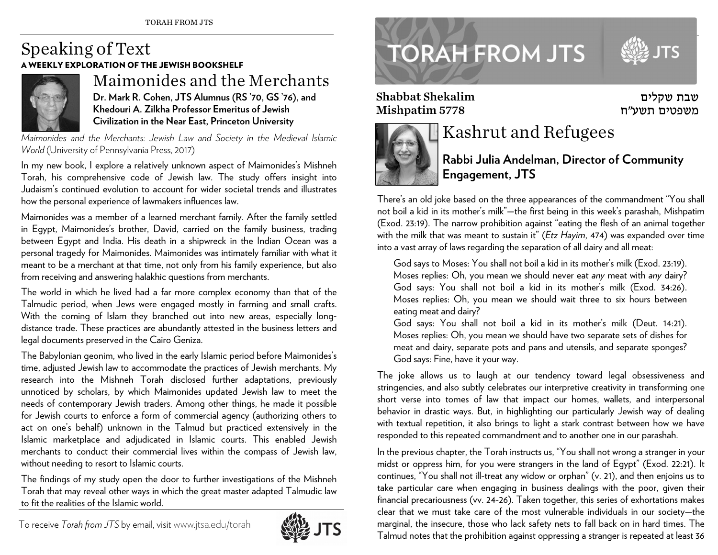## Speaking of Text A WEEKLY EXPLORATION OF THE JEWISH BOOKSHELF



## Maimonides and the Merchants **Dr. Mark R. Cohen, JTS Alumnus (RS '70, GS '76), and Khedouri A. Zilkha Professor Emeritus of Jewish Civilization in the Near East, Princeton University**

*Maimonides and the Merchants: Jewish Law and Society in the Medieval Islamic World* (University of Pennsylvania Press, 2017)

In my new book, I explore a relatively unknown aspect of Maimonides's Mishneh Torah, his comprehensive code of Jewish law. The study offers insight into Judaism's continued evolution to account for wider societal trends and illustrates how the personal experience of lawmakers influences law.

Maimonides was a member of a learned merchant family. After the family settled in Egypt, Maimonides's brother, David, carried on the family business, trading between Egypt and India. His death in a shipwreck in the Indian Ocean was a personal tragedy for Maimonides. Maimonides was intimately familiar with what it meant to be a merchant at that time, not only from his family experience, but also from receiving and answering halakhic questions from merchants.

The world in which he lived had a far more complex economy than that of the Talmudic period, when Jews were engaged mostly in farming and small crafts. With the coming of Islam they branched out into new areas, especially longdistance trade. These practices are abundantly attested in the business letters and legal documents preserved in the Cairo Geniza.

The Babylonian geonim, who lived in the early Islamic period before Maimonides's time, adjusted Jewish law to accommodate the practices of Jewish merchants. My research into the Mishneh Torah disclosed further adaptations, previously unnoticed by scholars, by which Maimonides updated Jewish law to meet the needs of contemporary Jewish traders. Among other things, he made it possible for Jewish courts to enforce a form of commercial agency (authorizing others to act on one's behalf) unknown in the Talmud but practiced extensively in the Islamic marketplace and adjudicated in Islamic courts. This enabled Jewish merchants to conduct their commercial lives within the compass of Jewish law, without needing to resort to Islamic courts.

The findings of my study open the door to further investigations of the Mishneh Torah that may reveal other ways in which the great master adapted Talmudic law to fit the realities of the Islamic world.

To receive *Torah from JTS* by email, visitwww.jtsa.edu/torah





Shabbat Shekalim Mishpatim 5778



## Kashrut and Refugees

**Rabbi Julia Andelman, Director of Community Engagement, JTS**

שבת שקלים משפטים תשע"ח

There's an old joke based on the three appearances of the commandment "You shall not boil a kid in its mother's milk"—the first being in this week's parashah, Mishpatim (Exod. 23:19). The narrow prohibition against "eating the flesh of an animal together with the milk that was meant to sustain it" (*Etz Hayim*, 474) was expanded over time into a vast array of laws regarding the separation of all dairy and all meat:

God says to Moses: You shall not boil a kid in its mother's milk (Exod. 23:19). Moses replies: Oh, you mean we should never eat *any* meat with *any* dairy? God says: You shall not boil a kid in its mother's milk (Exod. 34:26). Moses replies: Oh, you mean we should wait three to six hours between eating meat and dairy?

God says: You shall not boil a kid in its mother's milk (Deut. 14:21). Moses replies: Oh, you mean we should have two separate sets of dishes for meat and dairy, separate pots and pans and utensils, and separate sponges? God says: Fine, have it your way.

The joke allows us to laugh at our tendency toward legal obsessiveness and stringencies, and also subtly celebrates our interpretive creativity in transforming one short verse into tomes of law that impact our homes, wallets, and interpersonal behavior in drastic ways. But, in highlighting our particularly Jewish way of dealing with textual repetition, it also brings to light a stark contrast between how we have responded to this repeated commandment and to another one in our parashah.

In the previous chapter, the Torah instructs us, "You shall not wrong a stranger in your midst or oppress him, for you were strangers in the land of Egypt" (Exod. 22:21). It continues, "You shall not ill-treat any widow or orphan" (v. 21), and then enjoins us to take particular care when engaging in business dealings with the poor, given their financial precariousness (vv. 24-26). Taken together, this series of exhortations makes clear that we must take care of the most vulnerable individuals in our society—the marginal, the insecure, those who lack safety nets to fall back on in hard times. The Talmud notes that the prohibition against oppressing a stranger is repeated at least 36